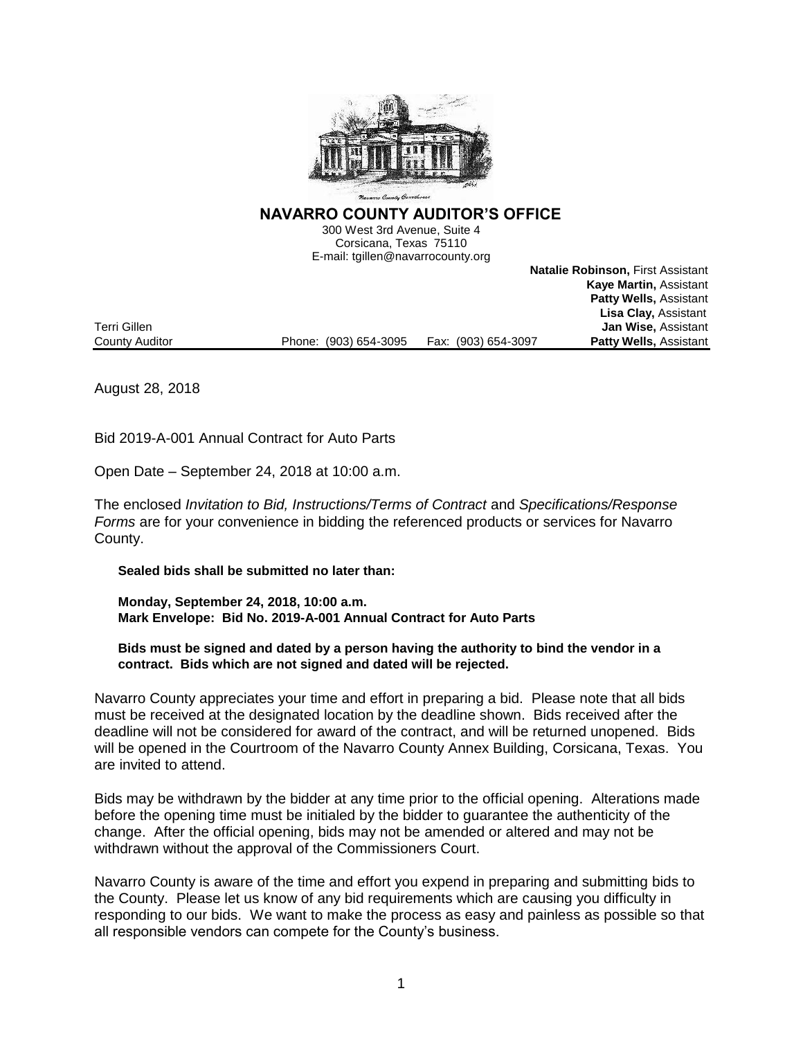

**NAVARRO COUNTY AUDITOR'S OFFICE** 

300 West 3rd Avenue, Suite 4 Corsicana, Texas 75110 E-mail: tgillen@navarrocounty.org

Phone: (903) 654-3095

**Natalie Robinson,** First Assistant **Kaye Martin,** Assistant **Patty Wells,** Assistant **Lisa Clay,** Assistant **Terri Gillen**<br>County Auditor **County Auditor Jan Wise, Assistant**<br>Patty Wells, Assistant

August 28, 2018

Bid 2019-A-001 Annual Contract for Auto Parts

Open Date – September 24, 2018 at 10:00 a.m.

The enclosed *Invitation to Bid, Instructions/Terms of Contract* and *Specifications/Response Forms* are for your convenience in bidding the referenced products or services for Navarro County.

**Sealed bids shall be submitted no later than:**

**Monday, September 24, 2018, 10:00 a.m. Mark Envelope: Bid No. 2019-A-001 Annual Contract for Auto Parts**

**Bids must be signed and dated by a person having the authority to bind the vendor in a contract. Bids which are not signed and dated will be rejected.**

Navarro County appreciates your time and effort in preparing a bid. Please note that all bids must be received at the designated location by the deadline shown. Bids received after the deadline will not be considered for award of the contract, and will be returned unopened. Bids will be opened in the Courtroom of the Navarro County Annex Building, Corsicana, Texas. You are invited to attend.

Bids may be withdrawn by the bidder at any time prior to the official opening. Alterations made before the opening time must be initialed by the bidder to guarantee the authenticity of the change. After the official opening, bids may not be amended or altered and may not be withdrawn without the approval of the Commissioners Court.

Navarro County is aware of the time and effort you expend in preparing and submitting bids to the County. Please let us know of any bid requirements which are causing you difficulty in responding to our bids. We want to make the process as easy and painless as possible so that all responsible vendors can compete for the County's business.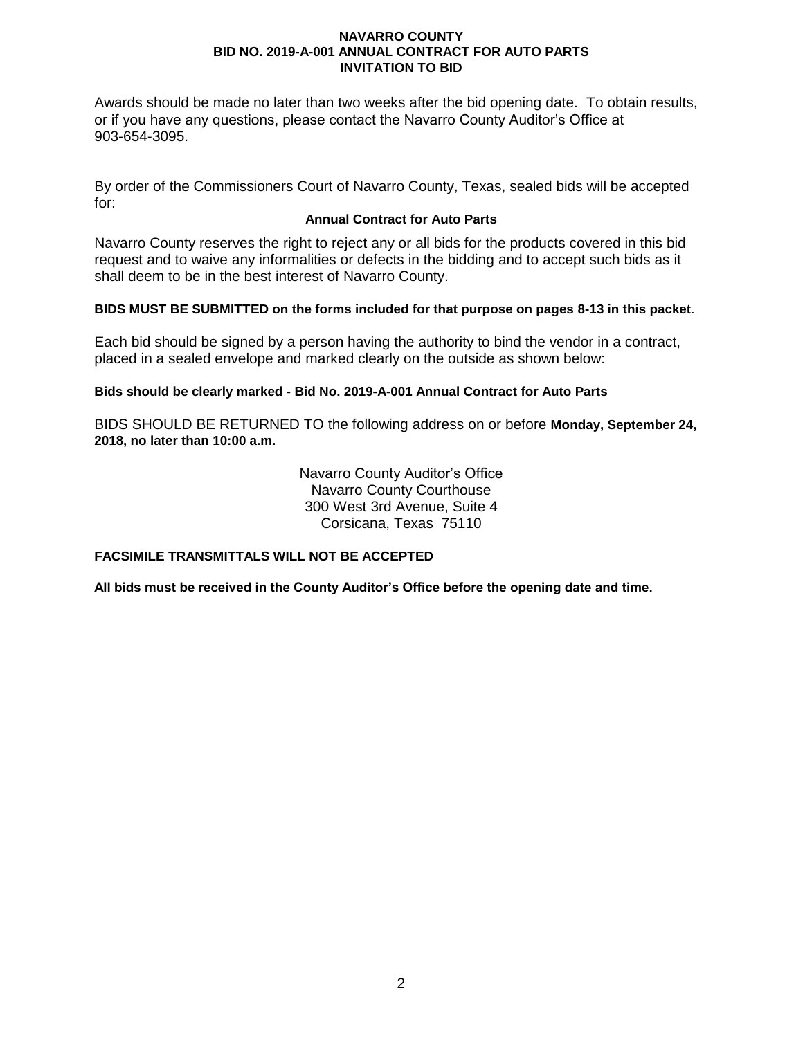Awards should be made no later than two weeks after the bid opening date. To obtain results, or if you have any questions, please contact the Navarro County Auditor's Office at 903-654-3095.

By order of the Commissioners Court of Navarro County, Texas, sealed bids will be accepted for:

# **Annual Contract for Auto Parts**

Navarro County reserves the right to reject any or all bids for the products covered in this bid request and to waive any informalities or defects in the bidding and to accept such bids as it shall deem to be in the best interest of Navarro County.

# **BIDS MUST BE SUBMITTED on the forms included for that purpose on pages 8-13 in this packet**.

Each bid should be signed by a person having the authority to bind the vendor in a contract, placed in a sealed envelope and marked clearly on the outside as shown below:

# **Bids should be clearly marked - Bid No. 2019-A-001 Annual Contract for Auto Parts**

BIDS SHOULD BE RETURNED TO the following address on or before **Monday, September 24, 2018, no later than 10:00 a.m.**

> Navarro County Auditor's Office Navarro County Courthouse 300 West 3rd Avenue, Suite 4 Corsicana, Texas 75110

## **FACSIMILE TRANSMITTALS WILL NOT BE ACCEPTED**

**All bids must be received in the County Auditor's Office before the opening date and time.**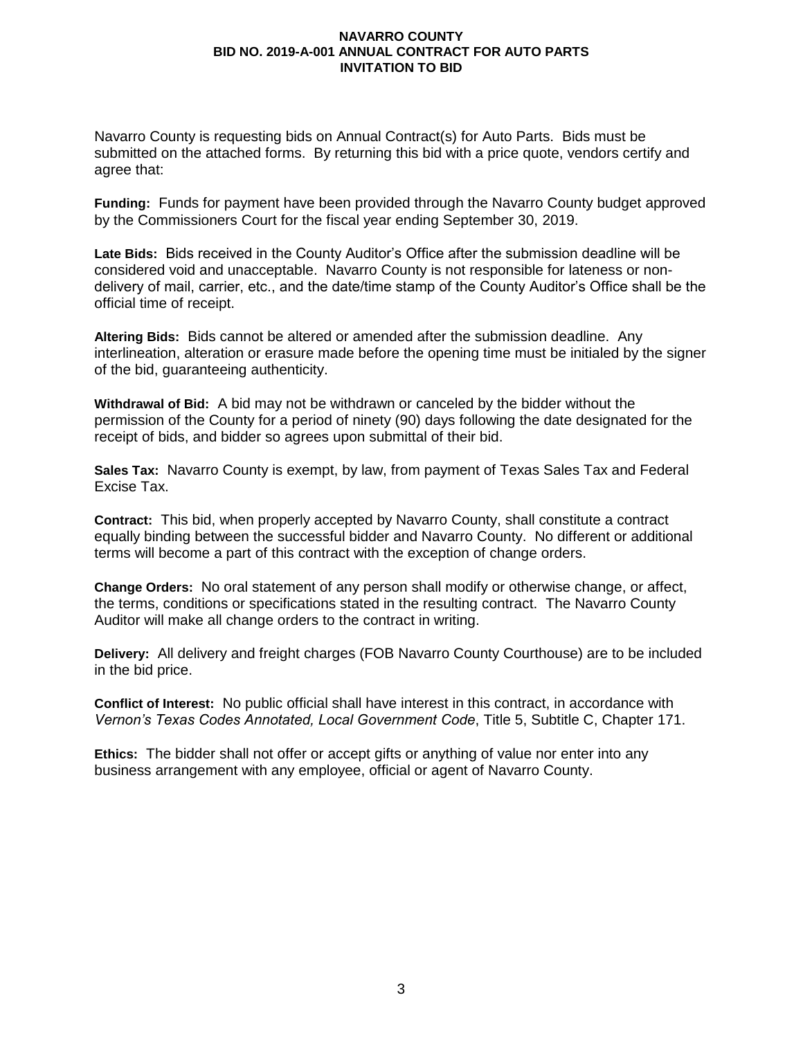Navarro County is requesting bids on Annual Contract(s) for Auto Parts. Bids must be submitted on the attached forms. By returning this bid with a price quote, vendors certify and agree that:

**Funding:** Funds for payment have been provided through the Navarro County budget approved by the Commissioners Court for the fiscal year ending September 30, 2019.

**Late Bids:** Bids received in the County Auditor's Office after the submission deadline will be considered void and unacceptable. Navarro County is not responsible for lateness or nondelivery of mail, carrier, etc., and the date/time stamp of the County Auditor's Office shall be the official time of receipt.

**Altering Bids:** Bids cannot be altered or amended after the submission deadline. Any interlineation, alteration or erasure made before the opening time must be initialed by the signer of the bid, guaranteeing authenticity.

**Withdrawal of Bid:** A bid may not be withdrawn or canceled by the bidder without the permission of the County for a period of ninety (90) days following the date designated for the receipt of bids, and bidder so agrees upon submittal of their bid.

**Sales Tax:** Navarro County is exempt, by law, from payment of Texas Sales Tax and Federal Excise Tax.

**Contract:** This bid, when properly accepted by Navarro County, shall constitute a contract equally binding between the successful bidder and Navarro County. No different or additional terms will become a part of this contract with the exception of change orders.

**Change Orders:** No oral statement of any person shall modify or otherwise change, or affect, the terms, conditions or specifications stated in the resulting contract. The Navarro County Auditor will make all change orders to the contract in writing.

**Delivery:** All delivery and freight charges (FOB Navarro County Courthouse) are to be included in the bid price.

**Conflict of Interest:** No public official shall have interest in this contract, in accordance with *Vernon's Texas Codes Annotated, Local Government Code*, Title 5, Subtitle C, Chapter 171.

**Ethics:** The bidder shall not offer or accept gifts or anything of value nor enter into any business arrangement with any employee, official or agent of Navarro County.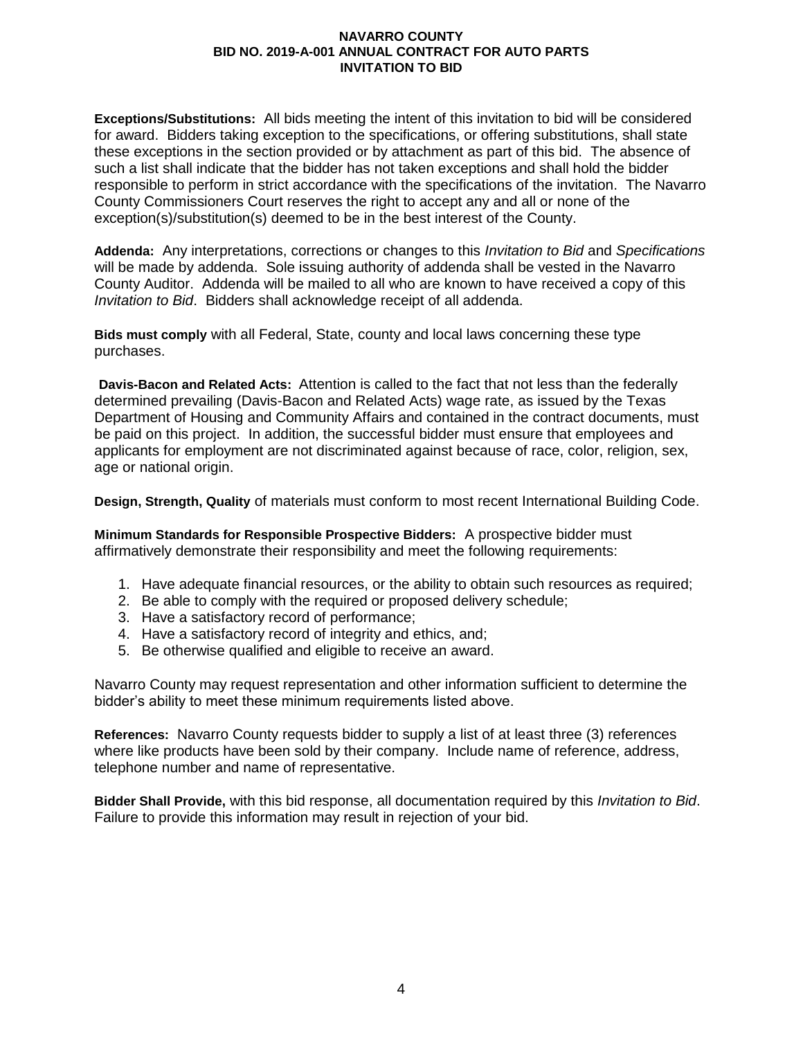**Exceptions/Substitutions:** All bids meeting the intent of this invitation to bid will be considered for award. Bidders taking exception to the specifications, or offering substitutions, shall state these exceptions in the section provided or by attachment as part of this bid. The absence of such a list shall indicate that the bidder has not taken exceptions and shall hold the bidder responsible to perform in strict accordance with the specifications of the invitation. The Navarro County Commissioners Court reserves the right to accept any and all or none of the exception(s)/substitution(s) deemed to be in the best interest of the County.

**Addenda:** Any interpretations, corrections or changes to this *Invitation to Bid* and *Specifications* will be made by addenda. Sole issuing authority of addenda shall be vested in the Navarro County Auditor. Addenda will be mailed to all who are known to have received a copy of this *Invitation to Bid*. Bidders shall acknowledge receipt of all addenda.

**Bids must comply** with all Federal, State, county and local laws concerning these type purchases.

**Davis-Bacon and Related Acts:**Attention is called to the fact that not less than the federally determined prevailing (Davis-Bacon and Related Acts) wage rate, as issued by the Texas Department of Housing and Community Affairs and contained in the contract documents, must be paid on this project. In addition, the successful bidder must ensure that employees and applicants for employment are not discriminated against because of race, color, religion, sex, age or national origin.

**Design, Strength, Quality** of materials must conform to most recent International Building Code.

**Minimum Standards for Responsible Prospective Bidders:** A prospective bidder must affirmatively demonstrate their responsibility and meet the following requirements:

- 1. Have adequate financial resources, or the ability to obtain such resources as required;
- 2. Be able to comply with the required or proposed delivery schedule;
- 3. Have a satisfactory record of performance;
- 4. Have a satisfactory record of integrity and ethics, and;
- 5. Be otherwise qualified and eligible to receive an award.

Navarro County may request representation and other information sufficient to determine the bidder's ability to meet these minimum requirements listed above.

**References:** Navarro County requests bidder to supply a list of at least three (3) references where like products have been sold by their company. Include name of reference, address, telephone number and name of representative.

**Bidder Shall Provide,** with this bid response, all documentation required by this *Invitation to Bid*. Failure to provide this information may result in rejection of your bid.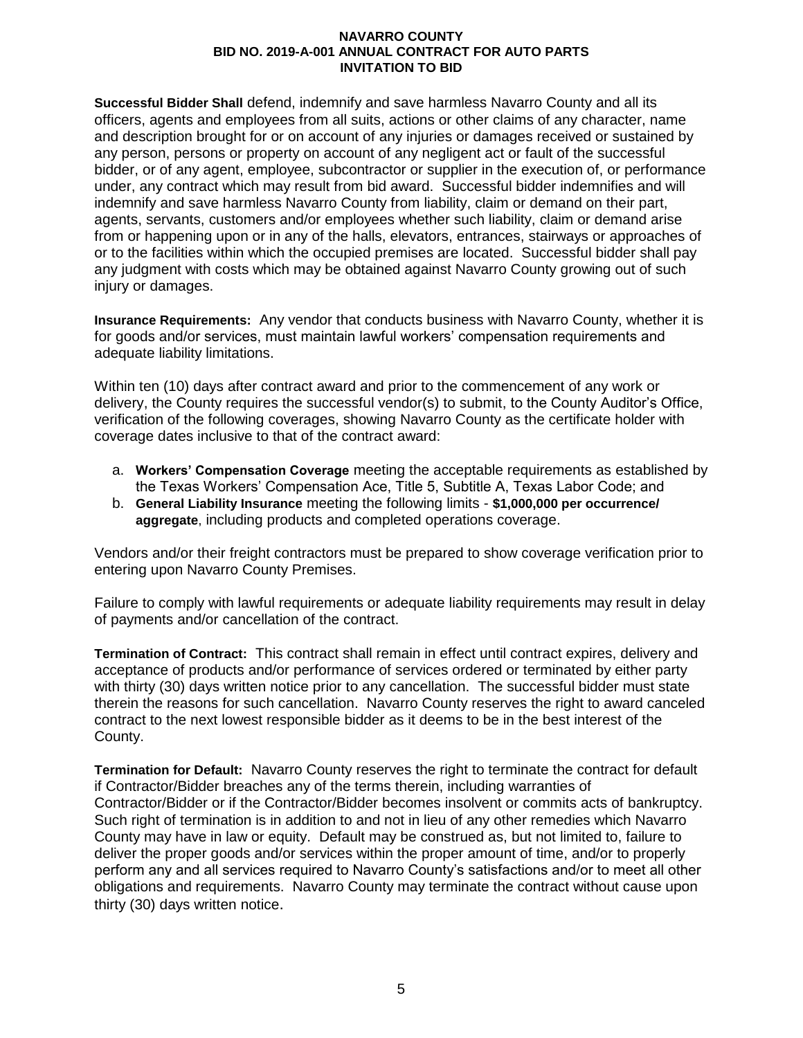**Successful Bidder Shall** defend, indemnify and save harmless Navarro County and all its officers, agents and employees from all suits, actions or other claims of any character, name and description brought for or on account of any injuries or damages received or sustained by any person, persons or property on account of any negligent act or fault of the successful bidder, or of any agent, employee, subcontractor or supplier in the execution of, or performance under, any contract which may result from bid award. Successful bidder indemnifies and will indemnify and save harmless Navarro County from liability, claim or demand on their part, agents, servants, customers and/or employees whether such liability, claim or demand arise from or happening upon or in any of the halls, elevators, entrances, stairways or approaches of or to the facilities within which the occupied premises are located. Successful bidder shall pay any judgment with costs which may be obtained against Navarro County growing out of such injury or damages.

**Insurance Requirements:** Any vendor that conducts business with Navarro County, whether it is for goods and/or services, must maintain lawful workers' compensation requirements and adequate liability limitations.

Within ten (10) days after contract award and prior to the commencement of any work or delivery, the County requires the successful vendor(s) to submit, to the County Auditor's Office, verification of the following coverages, showing Navarro County as the certificate holder with coverage dates inclusive to that of the contract award:

- a. **Workers' Compensation Coverage** meeting the acceptable requirements as established by the Texas Workers' Compensation Ace, Title 5, Subtitle A, Texas Labor Code; and
- b. **General Liability Insurance** meeting the following limits **\$1,000,000 per occurrence/ aggregate**, including products and completed operations coverage.

Vendors and/or their freight contractors must be prepared to show coverage verification prior to entering upon Navarro County Premises.

Failure to comply with lawful requirements or adequate liability requirements may result in delay of payments and/or cancellation of the contract.

**Termination of Contract:** This contract shall remain in effect until contract expires, delivery and acceptance of products and/or performance of services ordered or terminated by either party with thirty (30) days written notice prior to any cancellation. The successful bidder must state therein the reasons for such cancellation. Navarro County reserves the right to award canceled contract to the next lowest responsible bidder as it deems to be in the best interest of the County.

**Termination for Default:** Navarro County reserves the right to terminate the contract for default if Contractor/Bidder breaches any of the terms therein, including warranties of Contractor/Bidder or if the Contractor/Bidder becomes insolvent or commits acts of bankruptcy. Such right of termination is in addition to and not in lieu of any other remedies which Navarro County may have in law or equity. Default may be construed as, but not limited to, failure to deliver the proper goods and/or services within the proper amount of time, and/or to properly perform any and all services required to Navarro County's satisfactions and/or to meet all other obligations and requirements. Navarro County may terminate the contract without cause upon thirty (30) days written notice.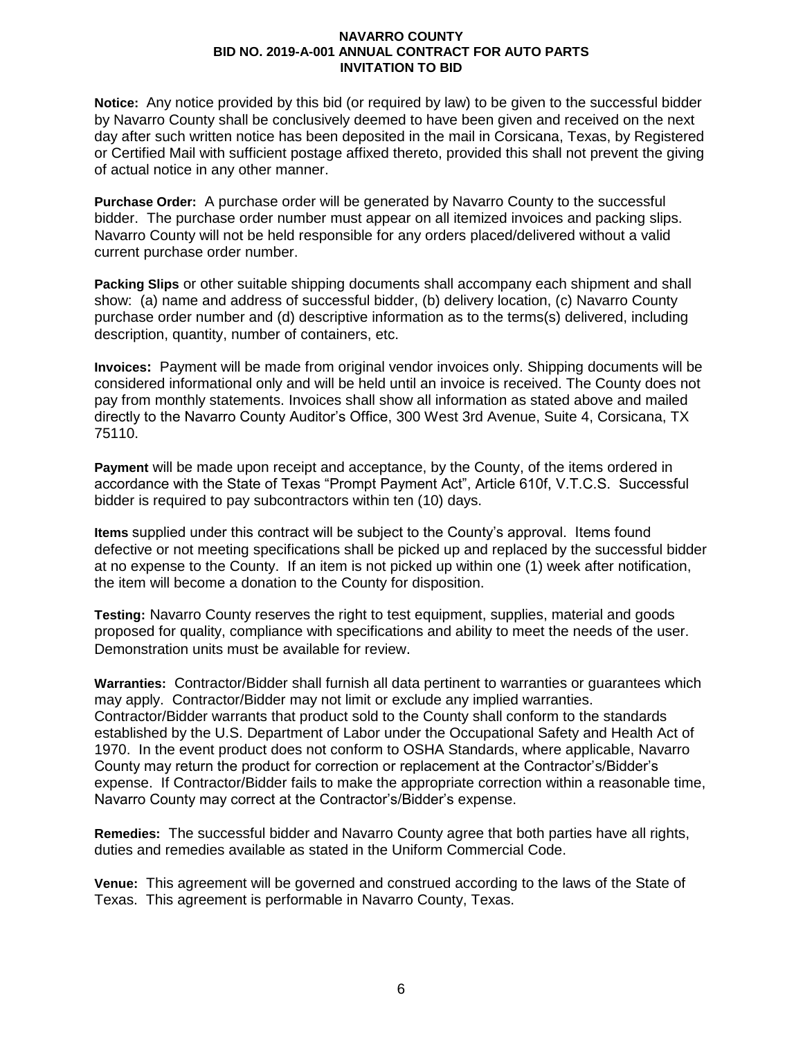**Notice:** Any notice provided by this bid (or required by law) to be given to the successful bidder by Navarro County shall be conclusively deemed to have been given and received on the next day after such written notice has been deposited in the mail in Corsicana, Texas, by Registered or Certified Mail with sufficient postage affixed thereto, provided this shall not prevent the giving of actual notice in any other manner.

**Purchase Order:** A purchase order will be generated by Navarro County to the successful bidder. The purchase order number must appear on all itemized invoices and packing slips. Navarro County will not be held responsible for any orders placed/delivered without a valid current purchase order number.

**Packing Slips** or other suitable shipping documents shall accompany each shipment and shall show: (a) name and address of successful bidder, (b) delivery location, (c) Navarro County purchase order number and (d) descriptive information as to the terms(s) delivered, including description, quantity, number of containers, etc.

**Invoices:** Payment will be made from original vendor invoices only. Shipping documents will be considered informational only and will be held until an invoice is received. The County does not pay from monthly statements. Invoices shall show all information as stated above and mailed directly to the Navarro County Auditor's Office, 300 West 3rd Avenue, Suite 4, Corsicana, TX 75110.

**Payment** will be made upon receipt and acceptance, by the County, of the items ordered in accordance with the State of Texas "Prompt Payment Act", Article 610f, V.T.C.S. Successful bidder is required to pay subcontractors within ten (10) days.

**Items** supplied under this contract will be subject to the County's approval. Items found defective or not meeting specifications shall be picked up and replaced by the successful bidder at no expense to the County. If an item is not picked up within one (1) week after notification, the item will become a donation to the County for disposition.

**Testing:** Navarro County reserves the right to test equipment, supplies, material and goods proposed for quality, compliance with specifications and ability to meet the needs of the user. Demonstration units must be available for review.

**Warranties:** Contractor/Bidder shall furnish all data pertinent to warranties or guarantees which may apply. Contractor/Bidder may not limit or exclude any implied warranties. Contractor/Bidder warrants that product sold to the County shall conform to the standards established by the U.S. Department of Labor under the Occupational Safety and Health Act of 1970. In the event product does not conform to OSHA Standards, where applicable, Navarro County may return the product for correction or replacement at the Contractor's/Bidder's expense. If Contractor/Bidder fails to make the appropriate correction within a reasonable time, Navarro County may correct at the Contractor's/Bidder's expense.

**Remedies:**The successful bidder and Navarro County agree that both parties have all rights, duties and remedies available as stated in the Uniform Commercial Code.

**Venue:** This agreement will be governed and construed according to the laws of the State of Texas. This agreement is performable in Navarro County, Texas.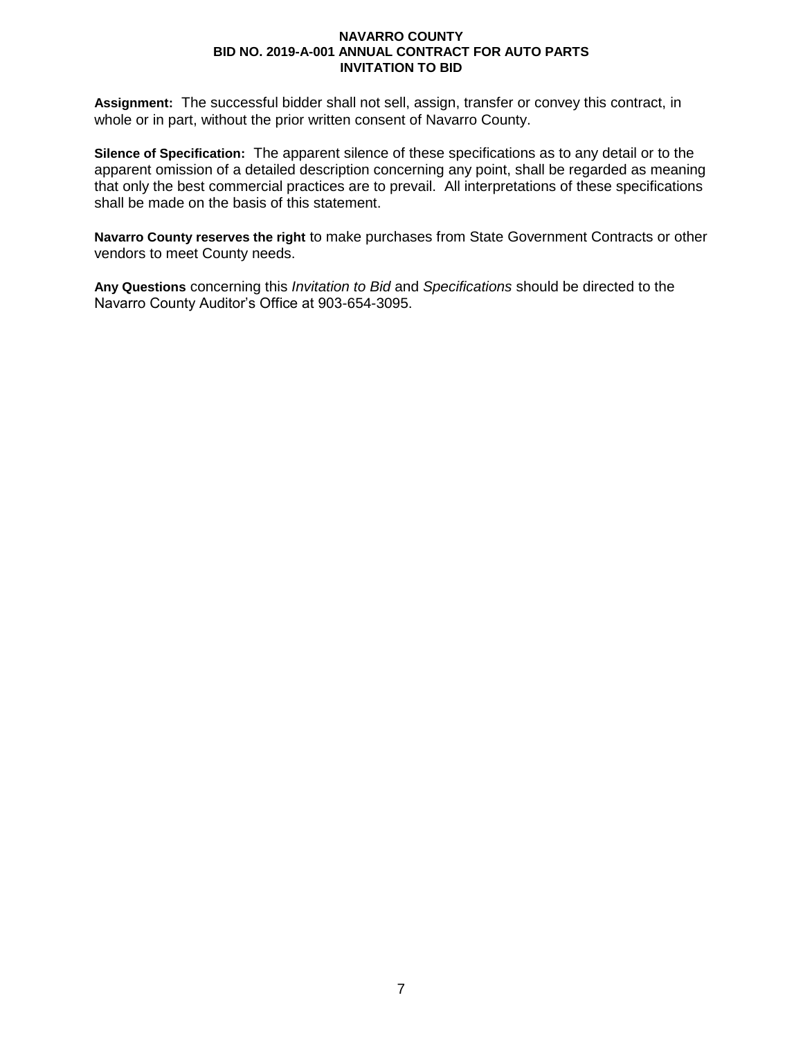**Assignment:** The successful bidder shall not sell, assign, transfer or convey this contract, in whole or in part, without the prior written consent of Navarro County.

**Silence of Specification:** The apparent silence of these specifications as to any detail or to the apparent omission of a detailed description concerning any point, shall be regarded as meaning that only the best commercial practices are to prevail. All interpretations of these specifications shall be made on the basis of this statement.

**Navarro County reserves the right** to make purchases from State Government Contracts or other vendors to meet County needs.

**Any Questions** concerning this *Invitation to Bid* and *Specifications* should be directed to the Navarro County Auditor's Office at 903-654-3095.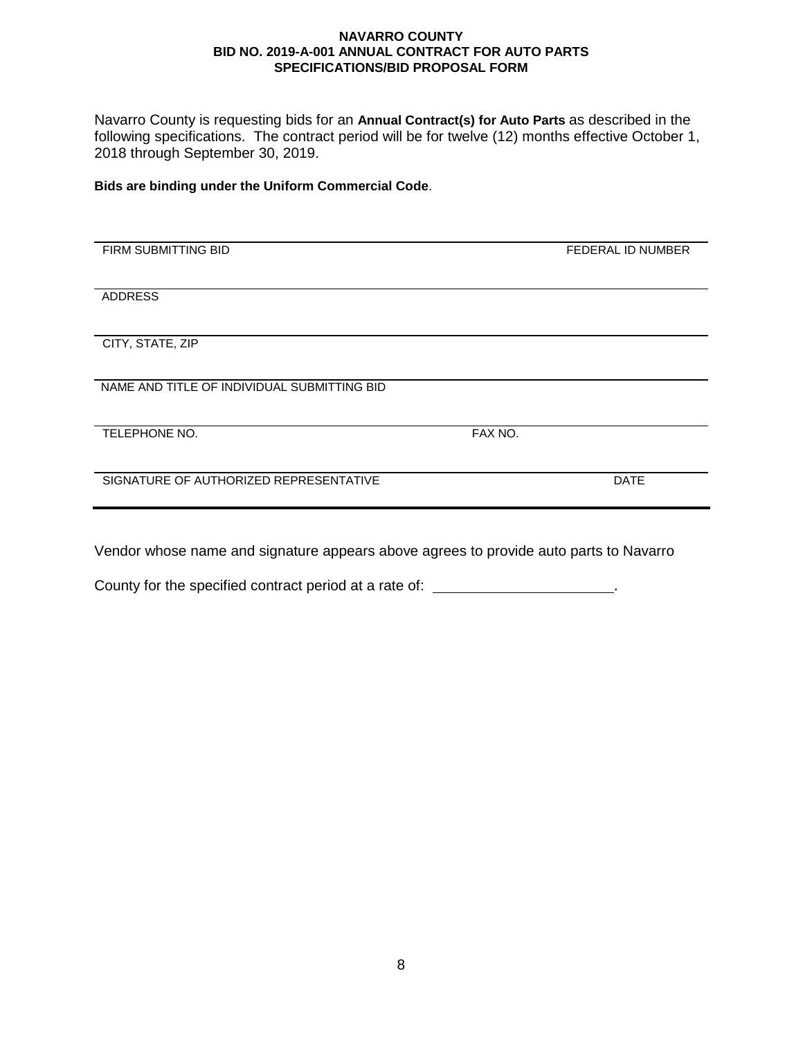Navarro County is requesting bids for an **Annual Contract(s) for Auto Parts** as described in the following specifications. The contract period will be for twelve (12) months effective October 1, 2018 through September 30, 2019.

### **Bids are binding under the Uniform Commercial Code**.

| FIRM SUBMITTING BID                         |         | <b>FEDERAL ID NUMBER</b> |
|---------------------------------------------|---------|--------------------------|
|                                             |         |                          |
| <b>ADDRESS</b>                              |         |                          |
|                                             |         |                          |
| CITY, STATE, ZIP                            |         |                          |
|                                             |         |                          |
| NAME AND TITLE OF INDIVIDUAL SUBMITTING BID |         |                          |
|                                             |         |                          |
| TELEPHONE NO.                               | FAX NO. |                          |
|                                             |         |                          |
|                                             |         |                          |
| SIGNATURE OF AUTHORIZED REPRESENTATIVE      |         | <b>DATE</b>              |
|                                             |         |                          |
|                                             |         |                          |

Vendor whose name and signature appears above agrees to provide auto parts to Navarro

County for the specified contract period at a rate of: \_\_\_\_\_\_\_\_\_\_\_\_\_\_\_\_\_\_\_\_\_\_\_.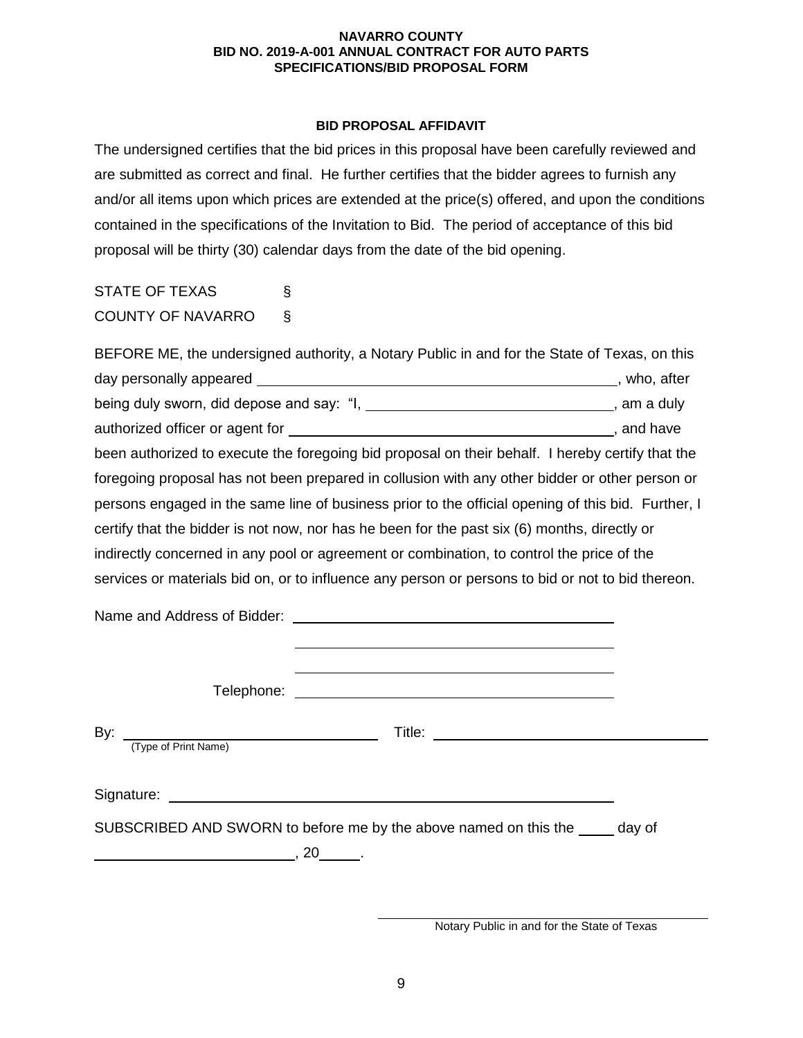## **BID PROPOSAL AFFIDAVIT**

The undersigned certifies that the bid prices in this proposal have been carefully reviewed and are submitted as correct and final. He further certifies that the bidder agrees to furnish any and/or all items upon which prices are extended at the price(s) offered, and upon the conditions contained in the specifications of the Invitation to Bid. The period of acceptance of this bid proposal will be thirty (30) calendar days from the date of the bid opening.

STATE OF TEXAS § COUNTY OF NAVARRO §

| BEFORE ME, the undersigned authority, a Notary Public in and for the State of Texas, on this       |              |  |
|----------------------------------------------------------------------------------------------------|--------------|--|
|                                                                                                    | , who, after |  |
| being duly sworn, did depose and say: "I, __________________________________, am a duly            |              |  |
|                                                                                                    |              |  |
| been authorized to execute the foregoing bid proposal on their behalf. I hereby certify that the   |              |  |
| foregoing proposal has not been prepared in collusion with any other bidder or other person or     |              |  |
| persons engaged in the same line of business prior to the official opening of this bid. Further, I |              |  |
| certify that the bidder is not now, nor has he been for the past six (6) months, directly or       |              |  |
| indirectly concerned in any pool or agreement or combination, to control the price of the          |              |  |
| services or materials bid on, or to influence any person or persons to bid or not to bid thereon.  |              |  |
| Name and Address of Bidder:                                                                        |              |  |

Telephone:

By: Title: (Type of Print Name) Signature: <u>example and the set of the set of the set of the set of the set of the set of the set of the set of the set of the set of the set of the set of the set of the set of the set of the set of the set of the set of </u> SUBSCRIBED AND SWORN to before me by the above named on this the day of  $\overline{\phantom{a} \phantom{a}}$ , 20  $\overline{\phantom{a}}$  .

Notary Public in and for the State of Texas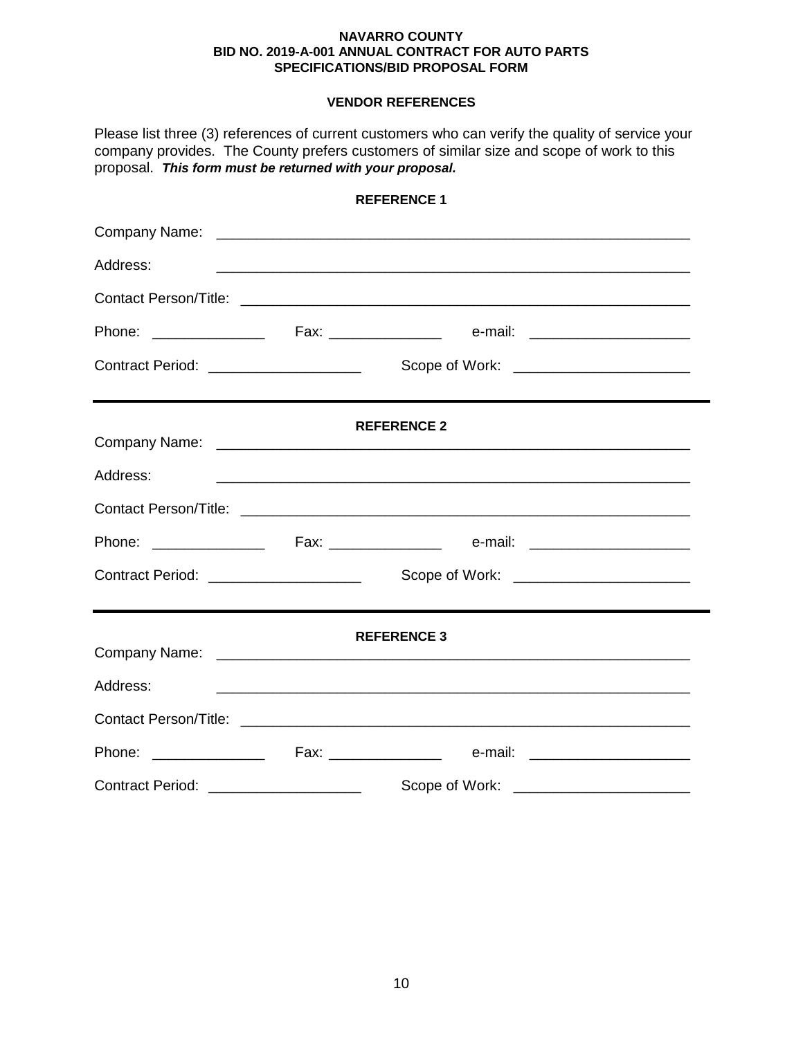# **VENDOR REFERENCES**

Please list three (3) references of current customers who can verify the quality of service your company provides. The County prefers customers of similar size and scope of work to this proposal. *This form must be returned with your proposal.*

|                                        |  | REFERENCE 1                                                                                                           |  |
|----------------------------------------|--|-----------------------------------------------------------------------------------------------------------------------|--|
|                                        |  |                                                                                                                       |  |
| Address:                               |  |                                                                                                                       |  |
|                                        |  |                                                                                                                       |  |
|                                        |  |                                                                                                                       |  |
| Contract Period: _____________________ |  |                                                                                                                       |  |
|                                        |  | <b>REFERENCE 2</b>                                                                                                    |  |
| Address:                               |  | <u> 1980 - Johann John Stone, markin film fan de ferske fan de ferske fan de ferske fan de ferske fan de ferske f</u> |  |
|                                        |  |                                                                                                                       |  |
|                                        |  |                                                                                                                       |  |
| Contract Period: _____________________ |  |                                                                                                                       |  |
| <b>REFERENCE 3</b>                     |  |                                                                                                                       |  |
| Address:                               |  |                                                                                                                       |  |
|                                        |  |                                                                                                                       |  |
|                                        |  |                                                                                                                       |  |
| Contract Period: ____________________  |  | Scope of Work: _________________________                                                                              |  |

# **REFERENCE 1**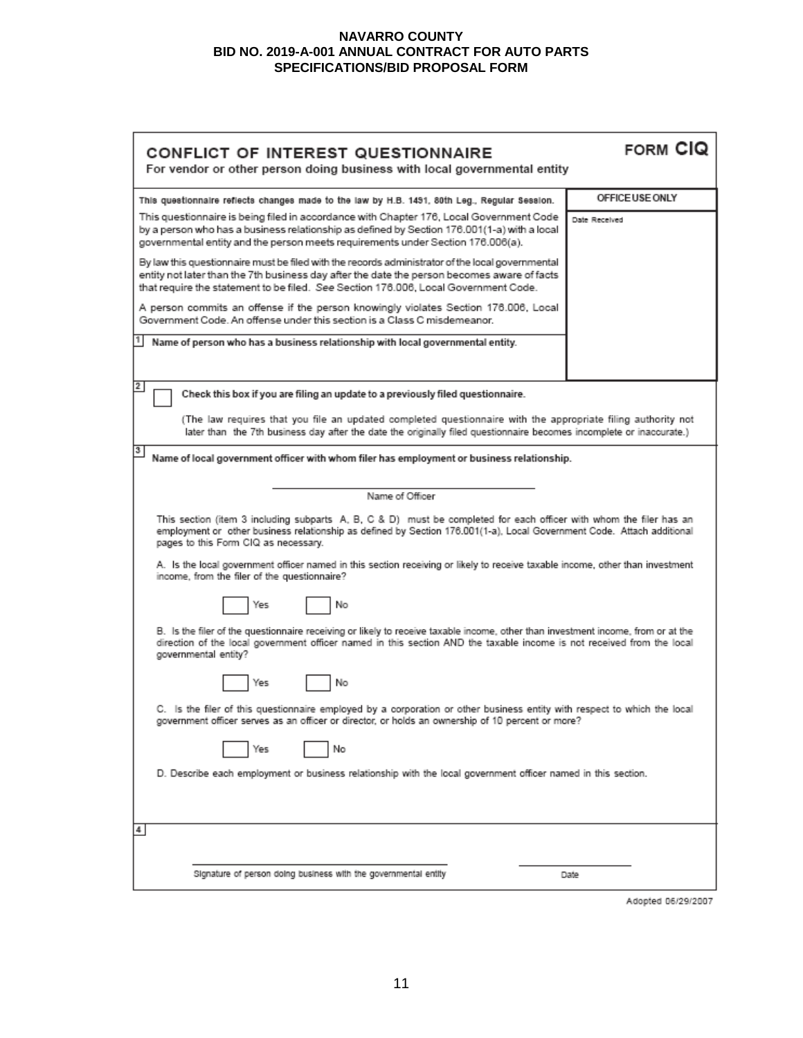| CONFLICT OF INTEREST QUESTIONNAIRE<br>For vendor or other person doing business with local governmental entity                                                                                                                                                                                                                                                                                                                                                                                                                                                                                                                                                                                                                                                                                                                                                                                                                                                                                                                                                                                                                                                         | <b>FORM CIQ</b> |  |  |  |
|------------------------------------------------------------------------------------------------------------------------------------------------------------------------------------------------------------------------------------------------------------------------------------------------------------------------------------------------------------------------------------------------------------------------------------------------------------------------------------------------------------------------------------------------------------------------------------------------------------------------------------------------------------------------------------------------------------------------------------------------------------------------------------------------------------------------------------------------------------------------------------------------------------------------------------------------------------------------------------------------------------------------------------------------------------------------------------------------------------------------------------------------------------------------|-----------------|--|--|--|
| This questionnaire reflects changes made to the law by H.B. 1491, 80th Leg., Regular Session.                                                                                                                                                                                                                                                                                                                                                                                                                                                                                                                                                                                                                                                                                                                                                                                                                                                                                                                                                                                                                                                                          | OFFICE USE ONLY |  |  |  |
| This questionnaire is being filed in accordance with Chapter 176, Local Government Code<br>by a person who has a business relationship as defined by Section 176.001(1-a) with a local<br>governmental entity and the person meets requirements under Section 176.006(a).                                                                                                                                                                                                                                                                                                                                                                                                                                                                                                                                                                                                                                                                                                                                                                                                                                                                                              | Date Received   |  |  |  |
| By law this questionnaire must be filed with the records administrator of the local governmental<br>entity not later than the 7th business day after the date the person becomes aware of facts<br>that require the statement to be filed. See Section 176.006, Local Government Code.                                                                                                                                                                                                                                                                                                                                                                                                                                                                                                                                                                                                                                                                                                                                                                                                                                                                                 |                 |  |  |  |
| A person commits an offense if the person knowingly violates Section 176.006, Local<br>Government Code. An offense under this section is a Class C misdemeanor.                                                                                                                                                                                                                                                                                                                                                                                                                                                                                                                                                                                                                                                                                                                                                                                                                                                                                                                                                                                                        |                 |  |  |  |
| Name of person who has a business relationship with local governmental entity.                                                                                                                                                                                                                                                                                                                                                                                                                                                                                                                                                                                                                                                                                                                                                                                                                                                                                                                                                                                                                                                                                         |                 |  |  |  |
| 2<br>Check this box if you are filing an update to a previously filed questionnaire.                                                                                                                                                                                                                                                                                                                                                                                                                                                                                                                                                                                                                                                                                                                                                                                                                                                                                                                                                                                                                                                                                   |                 |  |  |  |
| (The law requires that you file an updated completed questionnaire with the appropriate filing authority not<br>later than the 7th business day after the date the originally filed questionnaire becomes incomplete or inaccurate.)                                                                                                                                                                                                                                                                                                                                                                                                                                                                                                                                                                                                                                                                                                                                                                                                                                                                                                                                   |                 |  |  |  |
| 3<br>Name of local government officer with whom filer has employment or business relationship.                                                                                                                                                                                                                                                                                                                                                                                                                                                                                                                                                                                                                                                                                                                                                                                                                                                                                                                                                                                                                                                                         |                 |  |  |  |
| Name of Officer<br>This section (item 3 including subparts A, B, C & D) must be completed for each officer with whom the filer has an<br>employment or other business relationship as defined by Section 176.001(1-a), Local Government Code. Attach additional<br>pages to this Form CIQ as necessary.<br>A. Is the local government officer named in this section receiving or likely to receive taxable income, other than investment<br>income, from the filer of the questionnaire?<br>No<br>Yes<br>B. Is the filer of the questionnaire receiving or likely to receive taxable income, other than investment income, from or at the<br>direction of the local government officer named in this section AND the taxable income is not received from the local<br>governmental entity?<br>No<br>Yes<br>C. Is the filer of this questionnaire employed by a corporation or other business entity with respect to which the local<br>government officer serves as an officer or director, or holds an ownership of 10 percent or more?<br>No<br>Yes<br>D. Describe each employment or business relationship with the local government officer named in this section. |                 |  |  |  |
| 4                                                                                                                                                                                                                                                                                                                                                                                                                                                                                                                                                                                                                                                                                                                                                                                                                                                                                                                                                                                                                                                                                                                                                                      |                 |  |  |  |
| Signature of person doing business with the governmental entity                                                                                                                                                                                                                                                                                                                                                                                                                                                                                                                                                                                                                                                                                                                                                                                                                                                                                                                                                                                                                                                                                                        | Date            |  |  |  |

Adopted 06/29/2007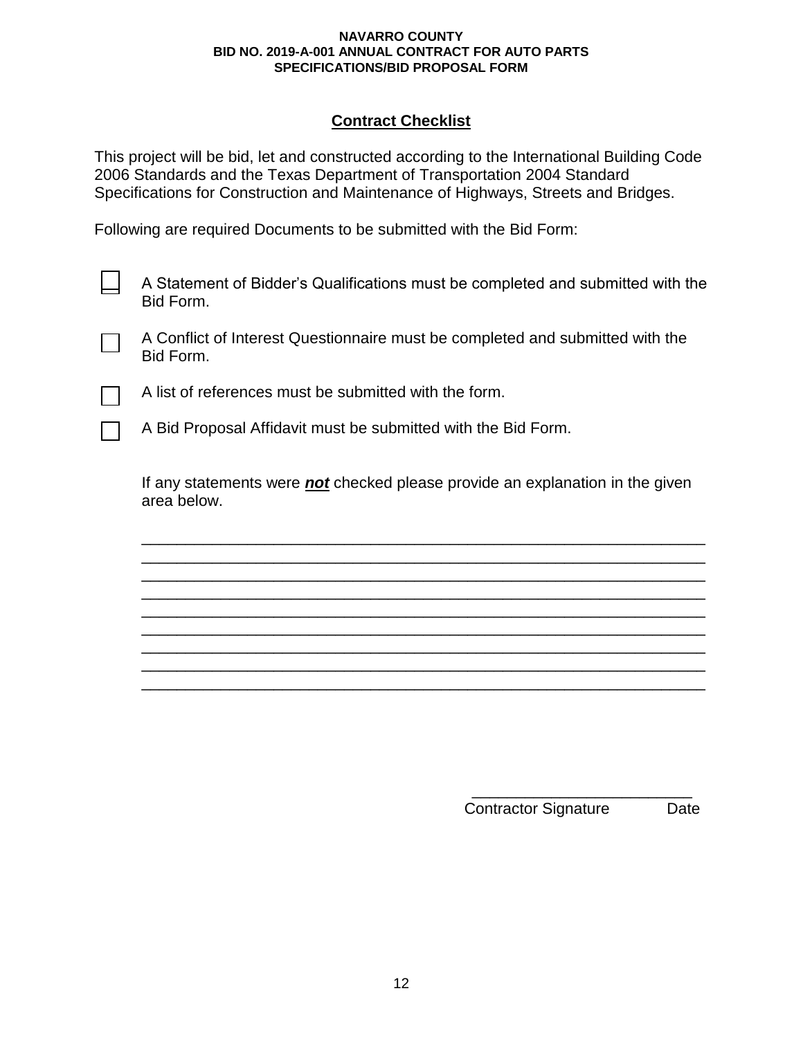# **Contract Checklist**

This project will be bid, let and constructed according to the International Building Code 2006 Standards and the Texas Department of Transportation 2004 Standard Specifications for Construction and Maintenance of Highways, Streets and Bridges.

Following are required Documents to be submitted with the Bid Form:

A Statement of Bidder's Qualifications must be completed and submitted with the Bid Form.

A Conflict of Interest Questionnaire must be completed and submitted with the Bid Form.

A list of references must be submitted with the form.

A Bid Proposal Affidavit must be submitted with the Bid Form.

If any statements were *not* checked please provide an explanation in the given area below.

\_\_\_\_\_\_\_\_\_\_\_\_\_\_\_\_\_\_\_\_\_\_\_\_\_\_\_\_\_\_\_\_\_\_\_\_\_\_\_\_\_\_\_\_\_\_\_\_\_\_\_\_\_\_\_\_\_\_\_\_\_\_\_\_ \_\_\_\_\_\_\_\_\_\_\_\_\_\_\_\_\_\_\_\_\_\_\_\_\_\_\_\_\_\_\_\_\_\_\_\_\_\_\_\_\_\_\_\_\_\_\_\_\_\_\_\_\_\_\_\_\_\_\_\_\_\_\_\_ \_\_\_\_\_\_\_\_\_\_\_\_\_\_\_\_\_\_\_\_\_\_\_\_\_\_\_\_\_\_\_\_\_\_\_\_\_\_\_\_\_\_\_\_\_\_\_\_\_\_\_\_\_\_\_\_\_\_\_\_\_\_\_\_ \_\_\_\_\_\_\_\_\_\_\_\_\_\_\_\_\_\_\_\_\_\_\_\_\_\_\_\_\_\_\_\_\_\_\_\_\_\_\_\_\_\_\_\_\_\_\_\_\_\_\_\_\_\_\_\_\_\_\_\_\_\_\_\_ \_\_\_\_\_\_\_\_\_\_\_\_\_\_\_\_\_\_\_\_\_\_\_\_\_\_\_\_\_\_\_\_\_\_\_\_\_\_\_\_\_\_\_\_\_\_\_\_\_\_\_\_\_\_\_\_\_\_\_\_\_\_\_\_ \_\_\_\_\_\_\_\_\_\_\_\_\_\_\_\_\_\_\_\_\_\_\_\_\_\_\_\_\_\_\_\_\_\_\_\_\_\_\_\_\_\_\_\_\_\_\_\_\_\_\_\_\_\_\_\_\_\_\_\_\_\_\_\_ \_\_\_\_\_\_\_\_\_\_\_\_\_\_\_\_\_\_\_\_\_\_\_\_\_\_\_\_\_\_\_\_\_\_\_\_\_\_\_\_\_\_\_\_\_\_\_\_\_\_\_\_\_\_\_\_\_\_\_\_\_\_\_\_ \_\_\_\_\_\_\_\_\_\_\_\_\_\_\_\_\_\_\_\_\_\_\_\_\_\_\_\_\_\_\_\_\_\_\_\_\_\_\_\_\_\_\_\_\_\_\_\_\_\_\_\_\_\_\_\_\_\_\_\_\_\_\_\_ \_\_\_\_\_\_\_\_\_\_\_\_\_\_\_\_\_\_\_\_\_\_\_\_\_\_\_\_\_\_\_\_\_\_\_\_\_\_\_\_\_\_\_\_\_\_\_\_\_\_\_\_\_\_\_\_\_\_\_\_\_\_\_\_

> \_\_\_\_\_\_\_\_\_\_\_\_\_\_\_\_\_\_\_\_\_\_\_\_\_ Contractor Signature Date